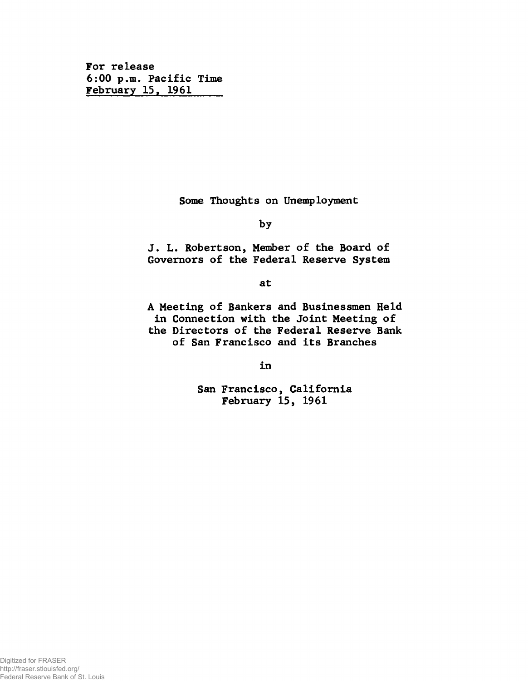**For release 6:00 p.m. Pacific Time February 15, 1961\_\_\_\_**

**Some Thoughts on Unemployment**

**by**

**J. L. Robertson, Member of the Board of Governors of the Federal Reserve System**

**at**

**A Meeting of Bankers and Businessmen Held in Connection with the Joint Meeting of the Directors of the Federal Reserve Bank of San Francisco and its Branches**

**in**

**San Francisco, California February 15, 1961**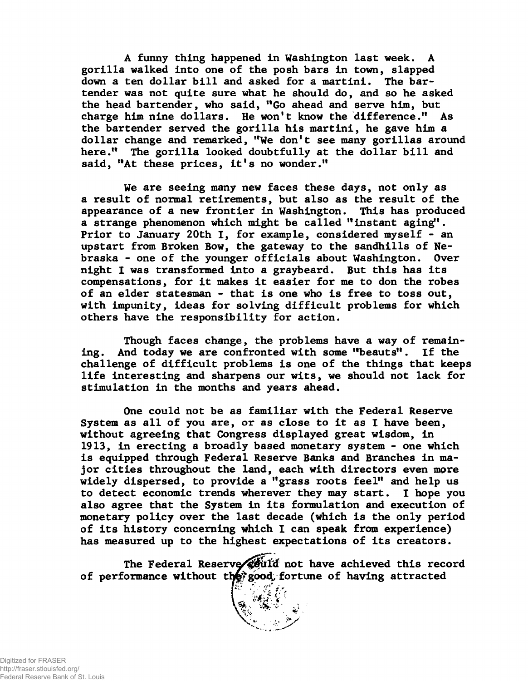**A funny thing happened in Washington last week. A gorilla walked into one of the posh bars in town, slapped down a ten dollar bill and asked for a martini. The bartender was not quite sure what he should do, and so he asked the head bartender, who said, "Go ahead and serve him, but charge him nine dollars. He won't know the difference." As the bartender served the gorilla his martini, he gave him a dollar change and remarked, "We don't see many gorillas around here." The gorilla looked doubtfully at the dollar bill and said, "At these prices, it's no wonder."**

**We are seeing many new faces these days, not only as a result of normal retirements, but also as the result of the appearance of a new frontier in Washington. This has produced a strange phenomenon which might be called "instant agingf'. Prior to January 20th I, for example, considered myself - an upstart from Broken Bow, the gateway to the sandhills of Nebraska - one of the younger officials about Washington. Over night I was transformed into a graybeard. But this has its compensations, for it makes it easier for me to don the robes of an elder statesman - that is one who is free to toss out, with impunity, ideas for solving difficult problems for which others have the responsibility for action.**

**Though faces change, the problems have a way of remaining. And today we are confronted with some "beauts". If the challenge of difficult problems is one of the things that keeps life interesting and sharpens our wits, we should not lack for stimulation in the months and years ahead.**

**One could not be as familiar with the Federal Reserve System as all of you are, or as close to it as I have been, without agreeing that Congress displayed great wisdom, in 1913, in erecting a broadly based monetary system - one which is equipped through Federal Reserve Banks and Branches in major cities throughout the land, each with directors even more widely dispersed, to provide a "grass roots feel" and help us to detect economic trends wherever they may start. I hope you also agree that the System in its formulation and execution of monetary policy over the last decade (which is the only period of its history concerning which I can speak from experience) has measured up to the highest expectations of its creators.**

The Federal Reserve wild not have achieved this record of performance without the good fortune of having attracted

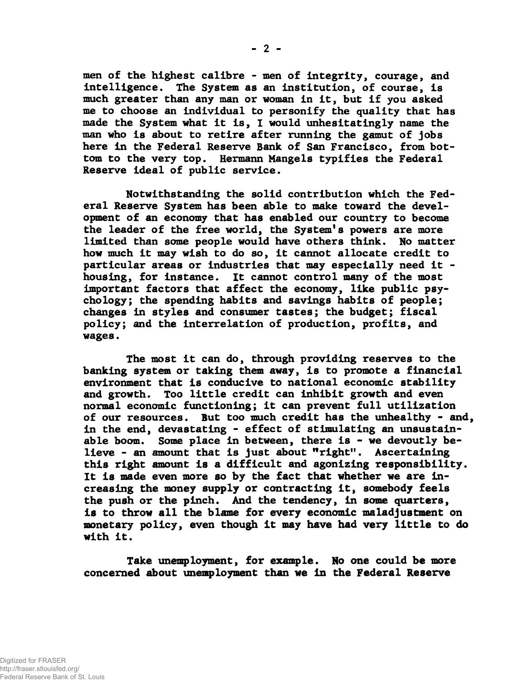**men of the highest calibre - men of integrity, courage, and intelligence. The System as an institution, of course, is much greater than any man or woman in it, but if you asked me to choose an individual to personify the quality that has made the System what it is, I would unhesitatingly name the man who is about to retire after running the gamut of jobs here in the Federal Reserve Bank of San Francisco, from bottom to the very top. Hermann Mangels typifies the Federal Reserve ideal of public service.**

**Notwithstanding the solid contribution which the Federal Reserve System has been able to make toward the development of an economy that has enabled our country to become the leader of the free world, the System's powers are more limited than some people would have others think. No matter how much it may wish to do so, it cannot allocate credit to particular areas or industries that may especially need it housing, for instance. It cannot control many of the most important factors that affect the economy, like public psychology; the spending habits and savings habits of people; changes in styles and consumer tastes; the budget; fiscal policy; and the interrelation of production, profits, and wages.**

**The most it can do, through providing reserves to the banking system or taking them away, is to promote a financial environment that is conducive to national economic stability and growth. Too little credit can inhibit growth and even normal economic functioning; it can prevent full utilization of our resources. But too much credit has the unhealthy - and, in the end, devastating - effect of stimulating an unsustainable boom. Some place in between, there is - we devoutly believe - an amount that is just about "right". Ascertaining this right amount is a difficult and agonizing responsibility. It is made even more so by the fact that whether we are increasing the money supply or contracting it, somebody feels the push or the pinch. And the tendency, in some quarters, is to throw all the blame for every economic maladjustment on monetary policy, even though it may have had very little to do with it.**

**Take unemployment, for example. No one could be more concerned about unemployment than we in the Federal Reserve**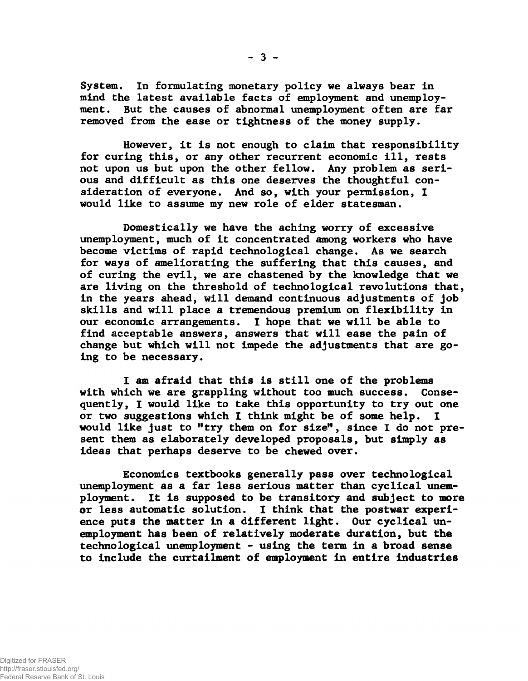**System. In formulating monetary policy we always bear in mind the latest available facts of employment and unemployment. But the causes of abnormal unemployment often are far removed from the ease or tightness of the money supply.**

**However, it is not enough to claim that responsibility for curing this, or any other recurrent economic ill, rests not upon us but upon the other fellow. Any problem as serious and difficult as this one deserves the thoughtful consideration of everyone. And so, with your permission, I would like to assume my new role of elder statesman.**

**Domestically we have the aching worry of excessive unemployment, much of it concentrated among workers who have become victims of rapid technological change. As we search for ways of ameliorating the suffering that this causes, and of curing the evil, we are chastened by the knowledge that we are living on the threshold of technological revolutions that, in the years ahead, will demand continuous adjustments of job skills and will place a tremendous premium on flexibility in our economic arrangements. I hope that we will be able to find acceptable answers, answers that will ease the pain of change but which will not impede the adjustments that are going to be necessary.**

**I am afraid that this is still one of the problems with which we are grappling without too much success. Consequently, I would like to take this opportunity to try out one or two suggestions which I think might be of some help. I would like just to "try them on for size", since I do not present them as elaborately developed proposals, but simply as ideas that perhaps deserve to be chewed over.**

**Economics textbooks generally pass over technological unemployment as a far less serious matter than cyclical unemployment. It is supposed to be transitory and subject to more or less automatic solution. I think that the postwar experience puts the matter in a different light. Our cyclical unemployment has been of relatively moderate duration, but the technological unemployment - using the term in a broad sense to include the curtailment of employment in entire industries**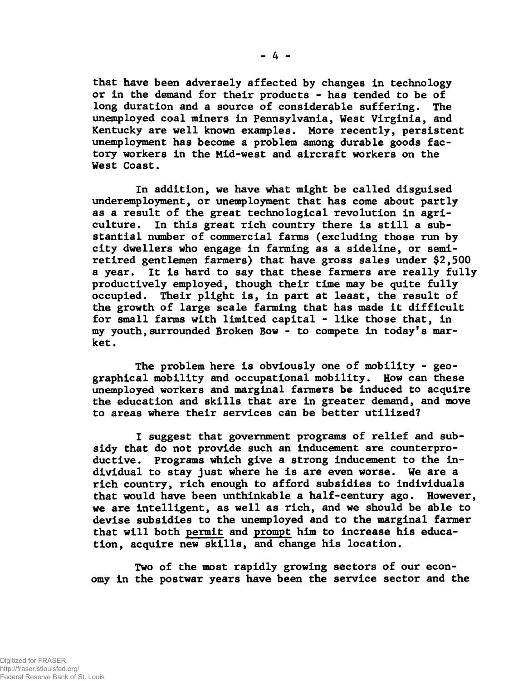**that have been adversely affected by changes in technology or in the demand for their products - has tended to be of long duration and a source of considerable suffering. The unemployed coal miners in Pennsylvania, West Virginia, and Kentucky are well known examples. More recently, persistent unemployment has become a problem among durable goods factory workers in the Mid-west and aircraft workers on the West Coast.**

**In addition, we have what might be called disguised underemployment, or unemployment that has come about partly as a result of the great technological revolution in agriculture. In this great rich country there is still a substantial number of commercial farms (excluding those run by city dwellers who engage in faming as a sideline, or semiretired gentlemen farmers) that have gross sales under \$2,500 a year. It is hard to say that these farmers are really fully productively employed, though their time may be quite fully occupied. Their plight is, in part at least, the result of the growth of large scale farming that has made it difficult for small farms with limited capital - like those that, in my youth,surrounded Broken Bow - to compete in today's market.**

**The problem here is obviously one of mobility - geographical mobility and occupational mobility. How can these unemployed workers and marginal farmers be induced to acquire the education and skills that are in greater demand, and move to areas where their services can be better utilized?**

**I suggest that government programs of relief and subsidy that do not provide such an inducement are counterproductive. Programs which give a strong inducement to the individual to stay just where he is are even worse. We are a rich country, rich enough to afford subsidies to individuals that would have been unthinkable a half-century ago. However, we are intelligent, as well as rich, and we should be able to devise subsidies to the unemployed and to the marginal farmer that will both permit and prompt him to increase his education, acquire new skills, and change his location.**

**Two of the most rapidly growing sectors of our economy in the postwar years have been the service sector and the**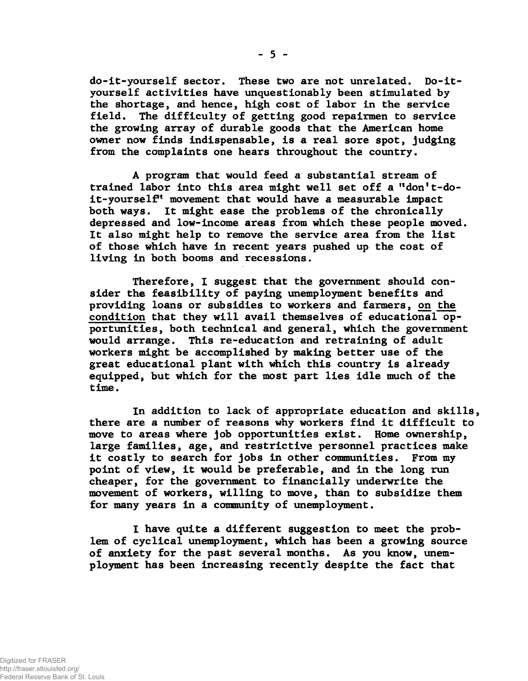**do-it-yourself sector. These two are not unrelated. Do-ityourself activities have unquestionably been stimulated by the shortage, and hence, high cost of labor in the service field. The difficulty of getting good repairmen to service the growing array of durable goods that the American home owner now finds indispensable, is a real sore spot, judging from the complaints one hears throughout the country.**

**A program that would feed a substantial stream of trained labor into this area might well set off a '\*don't-doit-yourself" movement that would have a measurable impact both ways. It might ease the problems of the chronically depressed and low-income areas from which these people moved. It also might help to remove the service area from the list of those which have in recent years pushed up the cost of living in both booms and recessions.**

**Therefore, I suggest that the government should consider the feasibility of paying unemployment benefits and providing loans or subsidies to workers and farmers, on the condition that they will avail themselves of educational opportunities, both technical and general, which the government would arrange. This re-education and retraining of adult workers might be accomplished by making better use of the great educational plant with which this country is already equipped, but which for the most part lies idle much of the time.**

**In addition to lack of appropriate education and skills, there are a number of reasons why workers find it difficult to move to areas where job opportunities exist. Home ownership, large families, age, and restrictive personnel practices make it costly to search for jobs in other communities. From my point of view, it would be preferable, and in the long run cheaper, for the government to financially underwrite the movement of workers, willing to move, than to subsidize them for many years in a community of unemployment.**

**I have quite a different suggestion to meet the problem of cyclical unemployment, which has been a growing source of anxiety for the past several months. As you know, unemployment has been increasing recently despite the fact that**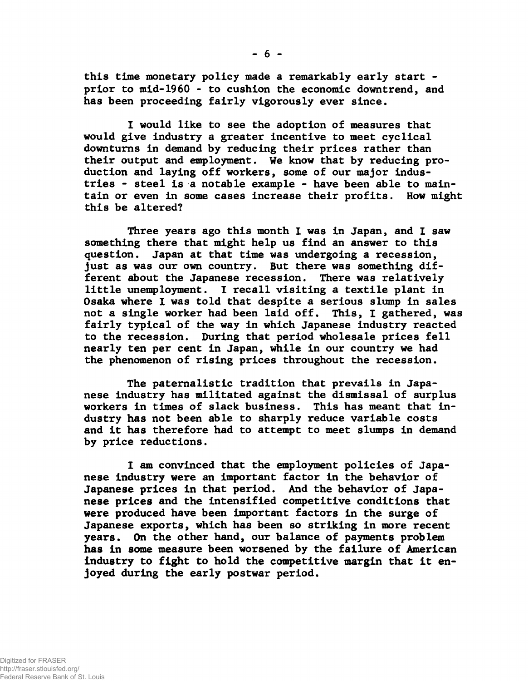**this time monetary policy made a remarkably early start prior to mid-1960 - to cushion the economic downtrend, and has been proceeding fairly vigorously ever since.**

**I would like to see the adoption of measures that would give industry a greater incentive to meet cyclical downturns in demand by reducing their prices rather than their output and employment. We know that by reducing production and laying off workers, some of our major industries - steel is a notable example - have been able to maintain or even in some cases increase their profits. How might this be altered?**

**Three years ago this month I was in Japan, and I saw something there that might help us find an answer to this question. Japan at that time was undergoing a recession, just as was our own country. But there was something different about the Japanese recession. There was relatively little unemployment. I recall visiting a textile plant in Osaka where I was told that despite a serious slump in sales not a single worker had been laid off. This, I gathered, was fairly typical of the way in which Japanese industry reacted to the recession. During that period wholesale prices fell nearly ten per cent in Japan, while in our country we had the phenomenon of rising prices throughout the recession.**

**The paternalistic tradition that prevails in Japanese industry has militated against the dismissal of surplus workers in times of slack business. This has meant that industry has not been able to sharply reduce variable costs and it has therefore had to attempt to meet slumps in demand by price reductions.**

**I am convinced that the employment policies of Japanese industry were an important factor in the behavior of Japanese prices in that period. And the behavior of Japanese prices and the intensified competitive conditions that were produced have been important factors in the surge of Japanese exports, which has been so striking in more recent years. On the other hand, our balance of payments problem has in some measure been worsened by the failure of American Industry to fight to hold the competitive margin that it enjoyed during the early postwar period.**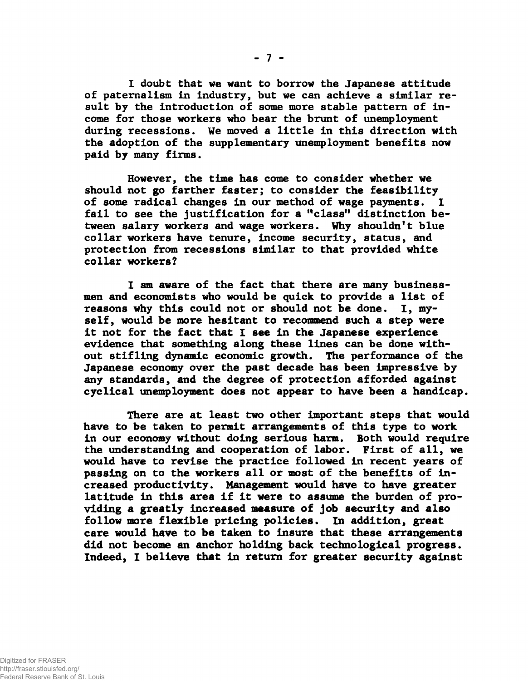**I doubt that we want to borrow the Japanese attitude of paternalism in industry, but we can achieve a similar result by the introduction of some more stable pattern of income for those workers who bear the brunt of unemployment during recessions. We moved a little in this direction with the adoption of the supplementary unemployment benefits now paid by many firms.**

**However, the time has come to consider whether we should not go farther faster; to consider the feasibility of some radical changes in our method of wage payments. I fail to see the justification for a "class" distinction between salary workers and wage workers. Why shouldn't blue collar workers have tenure, income security, status, and protection from recessions similar to that provided white collar workers?**

**I am aware of the fact that there are many businessmen and economists who would be quick to provide a list of reasons why this could not or should not be done. I, myself, would be more hesitant to recommend such a step were it not for the fact that I see in the Japanese experience evidence that something along these lines can be done without stifling dynamic economic growth. The performance of the Japanese economy over the past decade has been impressive by any standards, and the degree of protection afforded against cyclical unemployment does not appear to have been a handicap.**

**There are at least two other important steps that would have to be taken to permit arrangements of this type to work in our economy without doing serious harm. Both would require the understanding and cooperation of labor. First of all, we would have to revise the practice followed in recent years of passing on to the workers all or most of the benefits of increased productivity. Management would have to have greater latitude in this area if it were to assume the burden of providing a greatly increased measure of job security and also follow more flexible pricing policies. In addition, great care would have to be taken to insure that these arrangements did not become an anchor holding back technological progress. Indeed, I believe that in return for greater security against**